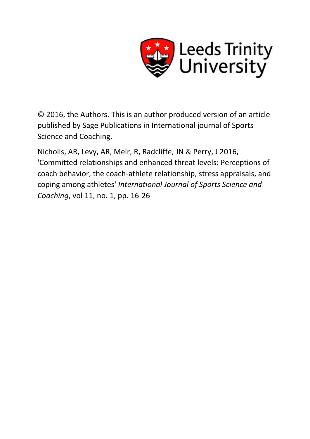

© 2016, the Authors. This is an author produced version of an article published by Sage Publications in International journal of Sports Science and Coaching.

Nicholls, AR, Levy, AR, Meir, R, Radcliffe, JN & Perry, J 2016, 'Committed relationships and enhanced threat levels: Perceptions of coach behavior, the coach-athlete relationship, stress appraisals, and coping among athletes' *International Journal of Sports Science and Coaching*, vol 11, no. 1, pp. 16-26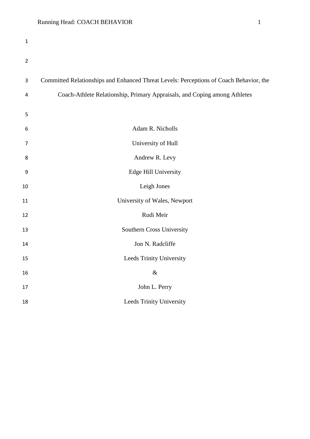| $\mathbf 1$    |                                                                                        |
|----------------|----------------------------------------------------------------------------------------|
| $\overline{2}$ |                                                                                        |
| 3              | Committed Relationships and Enhanced Threat Levels: Perceptions of Coach Behavior, the |
| 4              | Coach-Athlete Relationship, Primary Appraisals, and Coping among Athletes              |
| 5              |                                                                                        |
| 6              | Adam R. Nicholls                                                                       |
| 7              | University of Hull                                                                     |
| 8              | Andrew R. Levy                                                                         |
| 9              | <b>Edge Hill University</b>                                                            |
| 10             | Leigh Jones                                                                            |
| 11             | University of Wales, Newport                                                           |
| 12             | Rudi Meir                                                                              |
| 13             | Southern Cross University                                                              |
| 14             | Jon N. Radcliffe                                                                       |
| 15             | Leeds Trinity University                                                               |
| 16             | $\&$                                                                                   |
| 17             | John L. Perry                                                                          |
| 18             | Leeds Trinity University                                                               |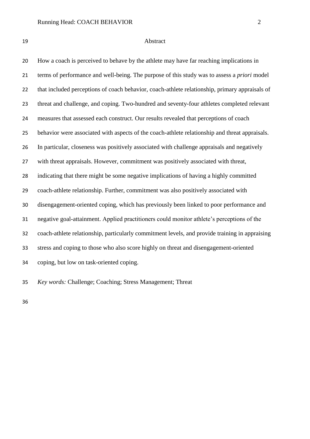| ı |                               |
|---|-------------------------------|
|   |                               |
|   | $\sim$<br>. .<br>i<br>۰.<br>v |

#### Abstract

 How a coach is perceived to behave by the athlete may have far reaching implications in terms of performance and well-being. The purpose of this study was to assess a *priori* model that included perceptions of coach behavior, coach-athlete relationship, primary appraisals of threat and challenge, and coping. Two-hundred and seventy-four athletes completed relevant measures that assessed each construct. Our results revealed that perceptions of coach behavior were associated with aspects of the coach-athlete relationship and threat appraisals. In particular, closeness was positively associated with challenge appraisals and negatively with threat appraisals. However, commitment was positively associated with threat, indicating that there might be some negative implications of having a highly committed coach-athlete relationship. Further, commitment was also positively associated with disengagement-oriented coping, which has previously been linked to poor performance and negative goal-attainment. Applied practitioners could monitor athlete's perceptions of the coach-athlete relationship, particularly commitment levels, and provide training in appraising stress and coping to those who also score highly on threat and disengagement-oriented coping, but low on task-oriented coping.

*Key words:* Challenge; Coaching; Stress Management; Threat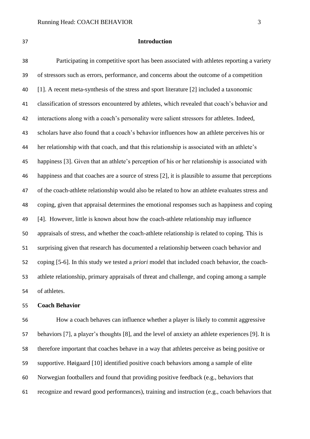#### **Introduction**

 Participating in competitive sport has been associated with athletes reporting a variety of stressors such as errors, performance, and concerns about the outcome of a competition [1]. A recent meta-synthesis of the stress and sport literature [2] included a taxonomic classification of stressors encountered by athletes, which revealed that coach's behavior and interactions along with a coach's personality were salient stressors for athletes. Indeed, scholars have also found that a coach's behavior influences how an athlete perceives his or her relationship with that coach, and that this relationship is associated with an athlete's happiness [3]. Given that an athlete's perception of his or her relationship is associated with happiness and that coaches are a source of stress [2], it is plausible to assume that perceptions of the coach-athlete relationship would also be related to how an athlete evaluates stress and coping, given that appraisal determines the emotional responses such as happiness and coping [4]. However, little is known about how the coach-athlete relationship may influence appraisals of stress, and whether the coach-athlete relationship is related to coping. This is surprising given that research has documented a relationship between coach behavior and coping [5-6]. In this study we tested a *priori* model that included coach behavior, the coach- athlete relationship, primary appraisals of threat and challenge, and coping among a sample of athletes.

#### **Coach Behavior**

 How a coach behaves can influence whether a player is likely to commit aggressive behaviors [7], a player's thoughts [8], and the level of anxiety an athlete experiences [9]. It is therefore important that coaches behave in a way that athletes perceive as being positive or supportive. Høigaard [10] identified positive coach behaviors among a sample of elite Norwegian footballers and found that providing positive feedback (e.g., behaviors that recognize and reward good performances), training and instruction (e.g., coach behaviors that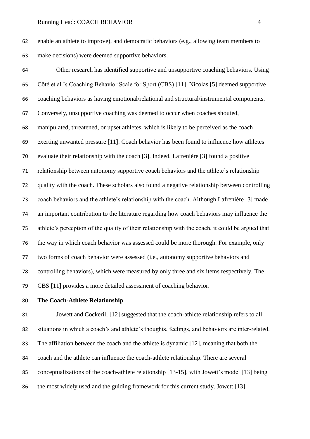enable an athlete to improve), and democratic behaviors (e.g., allowing team members to make decisions) were deemed supportive behaviors.

 Other research has identified supportive and unsupportive coaching behaviors. Using Côté et al.'s Coaching Behavior Scale for Sport (CBS) [11], Nicolas [5] deemed supportive coaching behaviors as having emotional/relational and structural/instrumental components. Conversely, unsupportive coaching was deemed to occur when coaches shouted, manipulated, threatened, or upset athletes, which is likely to be perceived as the coach exerting unwanted pressure [11]. Coach behavior has been found to influence how athletes evaluate their relationship with the coach [3]. Indeed, Lafrenière [3] found a positive relationship between autonomy supportive coach behaviors and the athlete's relationship quality with the coach. These scholars also found a negative relationship between controlling coach behaviors and the athlete's relationship with the coach. Although Lafrenière [3] made an important contribution to the literature regarding how coach behaviors may influence the athlete's perception of the quality of their relationship with the coach, it could be argued that the way in which coach behavior was assessed could be more thorough. For example, only two forms of coach behavior were assessed (i.e., autonomy supportive behaviors and controlling behaviors), which were measured by only three and six items respectively. The CBS [11] provides a more detailed assessment of coaching behavior.

### **The Coach-Athlete Relationship**

 Jowett and Cockerill [12] suggested that the coach-athlete relationship refers to all situations in which a coach's and athlete's thoughts, feelings, and behaviors are inter-related. The affiliation between the coach and the athlete is dynamic [12], meaning that both the coach and the athlete can influence the coach-athlete relationship. There are several conceptualizations of the coach-athlete relationship [13-15], with Jowett's model [13] being the most widely used and the guiding framework for this current study. Jowett [13]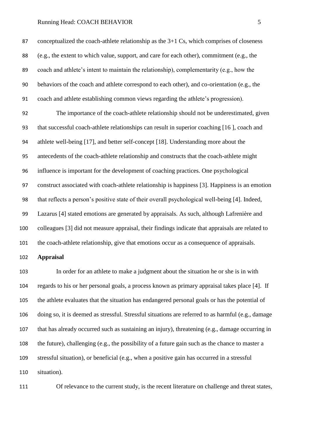conceptualized the coach-athlete relationship as the 3+1 Cs, which comprises of closeness (e.g., the extent to which value, support, and care for each other), commitment (e.g., the coach and athlete's intent to maintain the relationship), complementarity (e.g., how the behaviors of the coach and athlete correspond to each other), and co-orientation (e.g., the coach and athlete establishing common views regarding the athlete's progression).

 The importance of the coach-athlete relationship should not be underestimated, given that successful coach-athlete relationships can result in superior coaching [16 ], coach and athlete well-being [17], and better self-concept [18]. Understanding more about the antecedents of the coach-athlete relationship and constructs that the coach-athlete might influence is important for the development of coaching practices. One psychological construct associated with coach-athlete relationship is happiness [3]. Happiness is an emotion that reflects a person's positive state of their overall psychological well-being [4]. Indeed, Lazarus [4] stated emotions are generated by appraisals. As such, although Lafrenière and colleagues [3] did not measure appraisal, their findings indicate that appraisals are related to the coach-athlete relationship, give that emotions occur as a consequence of appraisals.

### **Appraisal**

 In order for an athlete to make a judgment about the situation he or she is in with regards to his or her personal goals, a process known as primary appraisal takes place [4]. If the athlete evaluates that the situation has endangered personal goals or has the potential of doing so, it is deemed as stressful. Stressful situations are referred to as harmful (e.g., damage that has already occurred such as sustaining an injury), threatening (e.g., damage occurring in the future), challenging (e.g., the possibility of a future gain such as the chance to master a stressful situation), or beneficial (e.g., when a positive gain has occurred in a stressful situation).

Of relevance to the current study, is the recent literature on challenge and threat states,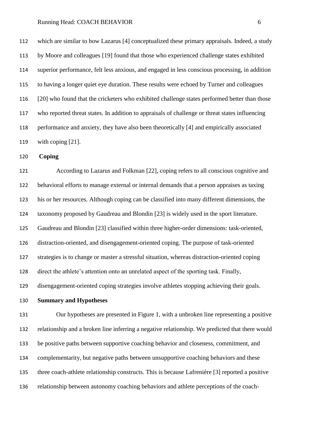which are similar to how Lazarus [4] conceptualized these primary appraisals. Indeed, a study by Moore and colleagues [19] found that those who experienced challenge states exhibited superior performance, felt less anxious, and engaged in less conscious processing, in addition to having a longer quiet eye duration. These results were echoed by Turner and colleagues [20] who found that the cricketers who exhibited challenge states performed better than those who reported threat states. In addition to appraisals of challenge or threat states influencing performance and anxiety, they have also been theoretically [4] and empirically associated with coping [21].

**Coping**

 According to Lazarus and Folkman [22], coping refers to all conscious cognitive and behavioral efforts to manage external or internal demands that a person appraises as taxing his or her resources. Although coping can be classified into many different dimensions, the taxonomy proposed by Gaudreau and Blondin [23] is widely used in the sport literature. Gaudreau and Blondin [23] classified within three higher-order dimensions: task-oriented, distraction-oriented, and disengagement-oriented coping. The purpose of task-oriented strategies is to change or master a stressful situation, whereas distraction-oriented coping direct the athlete's attention onto an unrelated aspect of the sporting task. Finally, disengagement-oriented coping strategies involve athletes stopping achieving their goals.

**Summary and Hypotheses**

 Our hypotheses are presented in Figure 1, with a unbroken line representing a positive relationship and a broken line inferring a negative relationship. We predicted that there would be positive paths between supportive coaching behavior and closeness, commitment, and complementarity, but negative paths between unsupportive coaching behaviors and these three coach-athlete relationship constructs. This is because Lafrenière [3] reported a positive relationship between autonomy coaching behaviors and athlete perceptions of the coach-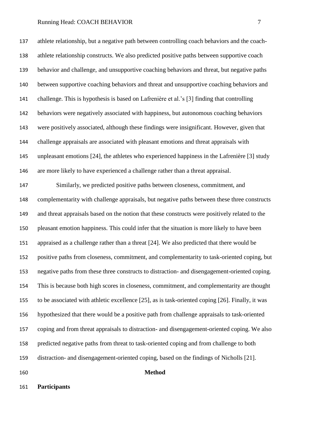athlete relationship, but a negative path between controlling coach behaviors and the coach- athlete relationship constructs. We also predicted positive paths between supportive coach behavior and challenge, and unsupportive coaching behaviors and threat, but negative paths between supportive coaching behaviors and threat and unsupportive coaching behaviors and challenge. This is hypothesis is based on Lafrenière et al.'s [3] finding that controlling behaviors were negatively associated with happiness, but autonomous coaching behaviors were positively associated, although these findings were insignificant. However, given that challenge appraisals are associated with pleasant emotions and threat appraisals with unpleasant emotions [24], the athletes who experienced happiness in the Lafrenière [3] study are more likely to have experienced a challenge rather than a threat appraisal.

 Similarly, we predicted positive paths between closeness, commitment, and complementarity with challenge appraisals, but negative paths between these three constructs and threat appraisals based on the notion that these constructs were positively related to the pleasant emotion happiness. This could infer that the situation is more likely to have been appraised as a challenge rather than a threat [24]. We also predicted that there would be positive paths from closeness, commitment, and complementarity to task-oriented coping, but negative paths from these three constructs to distraction- and disengagement-oriented coping. This is because both high scores in closeness, commitment, and complementarity are thought to be associated with athletic excellence [25], as is task-oriented coping [26]. Finally, it was hypothesized that there would be a positive path from challenge appraisals to task-oriented coping and from threat appraisals to distraction- and disengagement-oriented coping. We also predicted negative paths from threat to task-oriented coping and from challenge to both distraction- and disengagement-oriented coping, based on the findings of Nicholls [21].

**Method**

**Participants**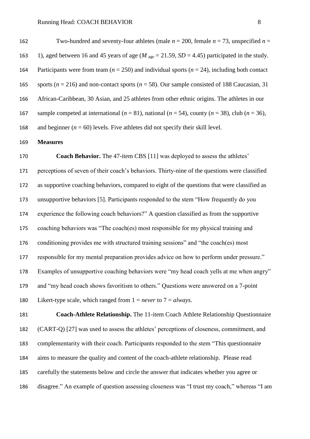162 Two-hundred and seventy-four athletes (male  $n = 200$ , female  $n = 73$ , unspecified  $n =$ 163 1), aged between 16 and 45 years of age ( $M<sub>age</sub> = 21.59$ ,  $SD = 4.45$ ) participated in the study. Participants were from team (*n* = 250) and individual sports (*n* = 24), including both contact 165 sports ( $n = 216$ ) and non-contact sports ( $n = 58$ ). Our sample consisted of 188 Caucasian, 31 African-Caribbean, 30 Asian, and 25 athletes from other ethnic origins. The athletes in our 167 sample competed at international  $(n = 81)$ , national  $(n = 54)$ , county  $(n = 38)$ , club  $(n = 36)$ , 168 and beginner  $(n = 60)$  levels. Five athletes did not specify their skill level.

**Measures**

 **Coach Behavior.** The 47-item CBS [11] was deployed to assess the athletes' perceptions of seven of their coach's behaviors. Thirty-nine of the questions were classified as supportive coaching behaviors, compared to eight of the questions that were classified as unsupportive behaviors [5]. Participants responded to the stem "How frequently do you experience the following coach behaviors?" A question classified as from the supportive coaching behaviors was "The coach(es) most responsible for my physical training and conditioning provides me with structured training sessions" and "the coach(es) most responsible for my mental preparation provides advice on how to perform under pressure." Examples of unsupportive coaching behaviors were "my head coach yells at me when angry" and "my head coach shows favoritism to others." Questions were answered on a 7-point Likert-type scale, which ranged from 1 = *never* to 7 = *always.* 

 **Coach-Athlete Relationship.** The 11-item Coach Athlete Relationship Questionnaire (CART-Q) [27] was used to assess the athletes' perceptions of closeness, commitment, and complementarity with their coach. Participants responded to the stem "This questionnaire aims to measure the quality and content of the coach-athlete relationship. Please read carefully the statements below and circle the answer that indicates whether you agree or disagree." An example of question assessing closeness was "I trust my coach," whereas "I am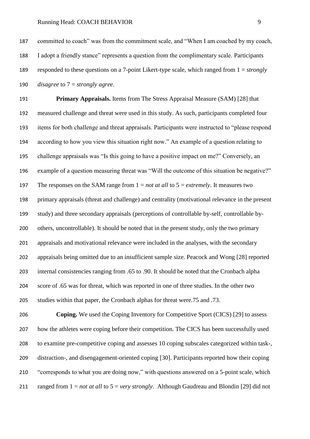**Primary Appraisals.** Items from The Stress Appraisal Measure (SAM) [28] that measured challenge and threat were used in this study. As such, participants completed four items for both challenge and threat appraisals. Participants were instructed to "please respond according to how you view this situation right now." An example of a question relating to challenge appraisals was "Is this going to have a positive impact on me?" Conversely, an example of a question measuring threat was "Will the outcome of this situation be negative?" The responses on the SAM range from 1 = *not at all* to 5 = *extremely*. It measures two primary appraisals (threat and challenge) and centrality (motivational relevance in the present study) and three secondary appraisals (perceptions of controllable by-self, controllable by- others, uncontrollable). It should be noted that in the present study, only the two primary appraisals and motivational relevance were included in the analyses, with the secondary appraisals being omitted due to an insufficient sample size. Peacock and Wong [28] reported internal consistencies ranging from .65 to .90. It should be noted that the Cronbach alpha score of .65 was for threat, which was reported in one of three studies. In the other two studies within that paper, the Cronbach alphas for threat were.75 and .73.

**Coping.** We used the Coping Inventory for Competitive Sport (CICS) [29] to assess 207 how the athletes were coping before their competition. The CICS has been successfully used to examine pre-competitive coping and assesses 10 coping subscales categorized within task-, distraction-, and disengagement-oriented coping [30]. Participants reported how their coping "corresponds to what you are doing now," with questions answered on a 5-point scale, which ranged from 1 = *not at all* to 5 = *very strongly*. Although Gaudreau and Blondin [29] did not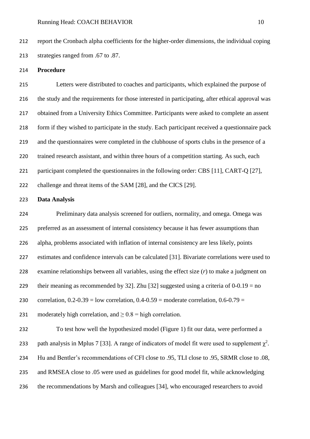report the Cronbach alpha coefficients for the higher-order dimensions, the individual coping strategies ranged from .67 to .87.

#### **Procedure**

 Letters were distributed to coaches and participants, which explained the purpose of the study and the requirements for those interested in participating, after ethical approval was obtained from a University Ethics Committee. Participants were asked to complete an assent form if they wished to participate in the study. Each participant received a questionnaire pack and the questionnaires were completed in the clubhouse of sports clubs in the presence of a trained research assistant, and within three hours of a competition starting. As such, each participant completed the questionnaires in the following order: CBS [11], CART-Q [27], challenge and threat items of the SAM [28], and the CICS [29].

#### **Data Analysis**

 Preliminary data analysis screened for outliers, normality, and omega. Omega was preferred as an assessment of internal consistency because it has fewer assumptions than alpha, problems associated with inflation of internal consistency are less likely, points estimates and confidence intervals can be calculated [31]. Bivariate correlations were used to examine relationships between all variables, using the effect size (*r*) to make a judgment on 229 their meaning as recommended by 32. Zhu [32] suggested using a criteria of  $0-0.19 =$  no 230 correlation,  $0.2$ - $0.39$  = low correlation,  $0.4$ - $0.59$  = moderate correlation,  $0.6$ - $0.79$  = 231 moderately high correlation, and  $\geq 0.8$  = high correlation. To test how well the hypothesized model (Figure 1) fit our data, were performed a 233 path analysis in Mplus 7 [33]. A range of indicators of model fit were used to supplement  $\chi^2$ . Hu and Bentler's recommendations of CFI close to .95, TLI close to .95, SRMR close to .08, and RMSEA close to .05 were used as guidelines for good model fit, while acknowledging

the recommendations by Marsh and colleagues [34], who encouraged researchers to avoid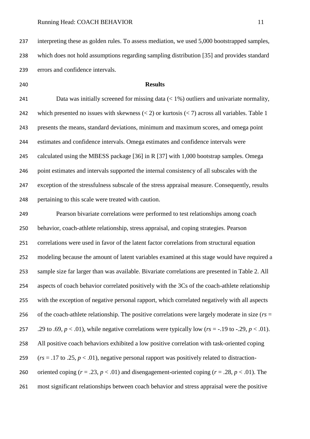interpreting these as golden rules. To assess mediation, we used 5,000 bootstrapped samples, which does not hold assumptions regarding sampling distribution [35] and provides standard errors and confidence intervals.

### **Results**

 Data was initially screened for missing data (< 1%) outliers and univariate normality, 242 which presented no issues with skewness  $(< 2)$  or kurtosis  $(< 7)$  across all variables. Table 1 presents the means, standard deviations, minimum and maximum scores, and omega point estimates and confidence intervals. Omega estimates and confidence intervals were 245 calculated using the MBESS package [36] in R [37] with 1,000 bootstrap samples. Omega 246 point estimates and intervals supported the internal consistency of all subscales with the exception of the stressfulness subscale of the stress appraisal measure. Consequently, results pertaining to this scale were treated with caution.

 Pearson bivariate correlations were performed to test relationships among coach behavior, coach-athlete relationship, stress appraisal, and coping strategies. Pearson correlations were used in favor of the latent factor correlations from structural equation modeling because the amount of latent variables examined at this stage would have required a sample size far larger than was available. Bivariate correlations are presented in Table 2. All aspects of coach behavior correlated positively with the 3Cs of the coach-athlete relationship with the exception of negative personal rapport, which correlated negatively with all aspects of the coach-athlete relationship. The positive correlations were largely moderate in size (*rs* = 257 .29 to .69,  $p < .01$ ), while negative correlations were typically low ( $rs = .19$  to  $-.29$ ,  $p < .01$ ). All positive coach behaviors exhibited a low positive correlation with task-oriented coping 259 ( $rs = .17$  to .25,  $p < .01$ ), negative personal rapport was positively related to distraction-260 oriented coping  $(r = .23, p < .01)$  and disengagement-oriented coping  $(r = .28, p < .01)$ . The most significant relationships between coach behavior and stress appraisal were the positive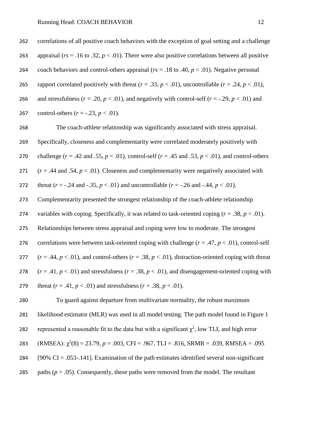262 correlations of all positive coach behaviors with the exception of goal setting and a challenge 263 appraisal (*rs* = .16 to .32, *p* < .01). There were also positive correlations between all positive 264 coach behaviors and control-others appraisal (*rs* = .18 to .40, *p* < .01). Negative personal 265 rapport correlated positively with threat  $(r = .33, p < .01)$ , uncontrollable  $(r = .24, p < .01)$ , 266 and stressfulness ( $r = .20$ ,  $p < .01$ ), and negatively with control-self ( $r = .29$ ,  $p < .01$ ) and 267 control-others  $(r = -.23, p < .01)$ .

268 The coach-athlete relationship was significantly associated with stress appraisal.

269 Specifically, closeness and complementarity were correlated moderately positively with

270 challenge ( $r = .42$  and .55,  $p < .01$ ), control-self ( $r = .45$  and .53,  $p < .01$ ), and control-others

271  $(r = .44$  and .54,  $p < .01$ ). Closeness and complementarity were negatively associated with

272 threat  $(r = -.24$  and  $-.35, p < .01)$  and uncontrollable  $(r = -.26$  and  $-.44, p < .01)$ .

273 Complementarity presented the strongest relationship of the coach-athlete relationship

274 variables with coping. Specifically, it was related to task-oriented coping  $(r = .38, p < .01)$ .

275 Relationships between stress appraisal and coping were low to moderate. The strongest

276 correlations were between task-oriented coping with challenge  $(r = .47, p < .01)$ , control-self 277  $(r = .44, p < .01)$ , and control-others  $(r = .38, p < .01)$ , distraction-oriented coping with threat 278  $(r = .41, p < .01)$  and stressfulness  $(r = .38, p < .01)$ , and disengagement-oriented coping with

279 threat  $(r = .41, p < .01)$  and stressfulness  $(r = .38, p < .01)$ .

280 To guard against departure from multivariate normality, the robust maximum 281 likelihood estimator (MLR) was used in all model testing. The path model found in Figure 1 282 represented a reasonable fit to the data but with a significant  $\chi^2$ , low TLI, and high error 283 (RMSEA):  $\chi^2(8) = 23.79$ ,  $p = .003$ , CFI = .967, TLI = .816, SRMR = .039, RMSEA = .095 284 [90% CI = .053-.141]. Examination of the path estimates identified several non-significant 285 paths ( $p > .05$ ). Consequently, these paths were removed from the model. The resultant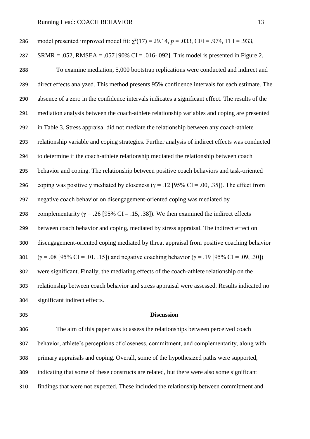| 286 | model presented improved model fit: $\chi^2(17) = 29.14$ , $p = .033$ , CFI = .974, TLI = .933,            |
|-----|------------------------------------------------------------------------------------------------------------|
| 287 | SRMR = .052, RMSEA = .057 [90% CI = .016-.092]. This model is presented in Figure 2.                       |
| 288 | To examine mediation, 5,000 bootstrap replications were conducted and indirect and                         |
| 289 | direct effects analyzed. This method presents 95% confidence intervals for each estimate. The              |
| 290 | absence of a zero in the confidence intervals indicates a significant effect. The results of the           |
| 291 | mediation analysis between the coach-athlete relationship variables and coping are presented               |
| 292 | in Table 3. Stress appraisal did not mediate the relationship between any coach-athlete                    |
| 293 | relationship variable and coping strategies. Further analysis of indirect effects was conducted            |
| 294 | to determine if the coach-athlete relationship mediated the relationship between coach                     |
| 295 | behavior and coping. The relationship between positive coach behaviors and task-oriented                   |
| 296 | coping was positively mediated by closeness ( $\gamma$ = .12 [95% CI = .00, .35]). The effect from         |
| 297 | negative coach behavior on disengagement-oriented coping was mediated by                                   |
| 298 | complementarity ( $\gamma$ = .26 [95% CI = .15, .38]). We then examined the indirect effects               |
| 299 | between coach behavior and coping, mediated by stress appraisal. The indirect effect on                    |
| 300 | disengagement-oriented coping mediated by threat appraisal from positive coaching behavior                 |
| 301 | $(\gamma = .08)$ [95% CI = .01, .15]) and negative coaching behavior ( $\gamma = .19$ [95% CI = .09, .30]) |
| 302 | were significant. Finally, the mediating effects of the coach-athlete relationship on the                  |
| 303 | relationship between coach behavior and stress appraisal were assessed. Results indicated no               |
| 304 | significant indirect effects.                                                                              |

#### **Discussion**

 The aim of this paper was to assess the relationships between perceived coach behavior, athlete's perceptions of closeness, commitment, and complementarity, along with primary appraisals and coping. Overall, some of the hypothesized paths were supported, indicating that some of these constructs are related, but there were also some significant findings that were not expected. These included the relationship between commitment and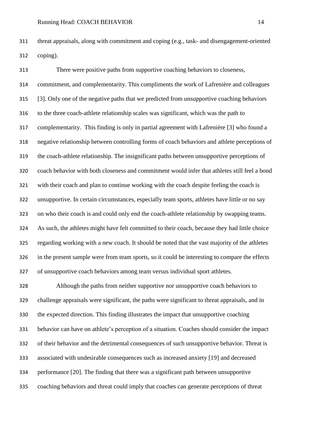threat appraisals, along with commitment and coping (e.g., task- and disengagement-oriented coping).

 There were positive paths from supportive coaching behaviors to closeness, commitment, and complementarity. This compliments the work of Lafrenière and colleagues [3]. Only one of the negative paths that we predicted from unsupportive coaching behaviors to the three coach-athlete relationship scales was significant, which was the path to complementarity. This finding is only in partial agreement with Lafrenière [3] who found a negative relationship between controlling forms of coach behaviors and athlete perceptions of the coach-athlete relationship. The insignificant paths between unsupportive perceptions of coach behavior with both closeness and commitment would infer that athletes still feel a bond with their coach and plan to continue working with the coach despite feeling the coach is unsupportive. In certain circumstances, especially team sports, athletes have little or no say on who their coach is and could only end the coach-athlete relationship by swapping teams. As such, the athletes might have felt committed to their coach, because they had little choice regarding working with a new coach. It should be noted that the vast majority of the athletes in the present sample were from team sports, so it could be interesting to compare the effects of unsupportive coach behaviors among team versus individual sport athletes.

 Although the paths from neither supportive nor unsupportive coach behaviors to challenge appraisals were significant, the paths were significant to threat appraisals, and in the expected direction. This finding illustrates the impact that unsupportive coaching behavior can have on athlete's perception of a situation. Coaches should consider the impact of their behavior and the detrimental consequences of such unsupportive behavior. Threat is associated with undesirable consequences such as increased anxiety [19] and decreased performance [20]. The finding that there was a significant path between unsupportive coaching behaviors and threat could imply that coaches can generate perceptions of threat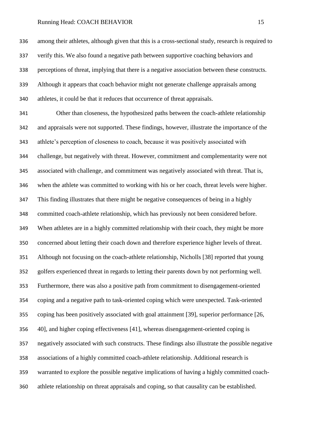among their athletes, although given that this is a cross-sectional study, research is required to verify this. We also found a negative path between supportive coaching behaviors and perceptions of threat, implying that there is a negative association between these constructs. Although it appears that coach behavior might not generate challenge appraisals among athletes, it could be that it reduces that occurrence of threat appraisals.

 Other than closeness, the hypothesized paths between the coach-athlete relationship and appraisals were not supported. These findings, however, illustrate the importance of the athlete's perception of closeness to coach, because it was positively associated with challenge, but negatively with threat. However, commitment and complementarity were not associated with challenge, and commitment was negatively associated with threat. That is, when the athlete was committed to working with his or her coach, threat levels were higher. This finding illustrates that there might be negative consequences of being in a highly committed coach-athlete relationship, which has previously not been considered before. When athletes are in a highly committed relationship with their coach, they might be more concerned about letting their coach down and therefore experience higher levels of threat. Although not focusing on the coach-athlete relationship, Nicholls [38] reported that young golfers experienced threat in regards to letting their parents down by not performing well. Furthermore, there was also a positive path from commitment to disengagement-oriented coping and a negative path to task-oriented coping which were unexpected. Task-oriented coping has been positively associated with goal attainment [39], superior performance [26, 40], and higher coping effectiveness [41], whereas disengagement-oriented coping is negatively associated with such constructs. These findings also illustrate the possible negative associations of a highly committed coach-athlete relationship. Additional research is warranted to explore the possible negative implications of having a highly committed coach-athlete relationship on threat appraisals and coping, so that causality can be established.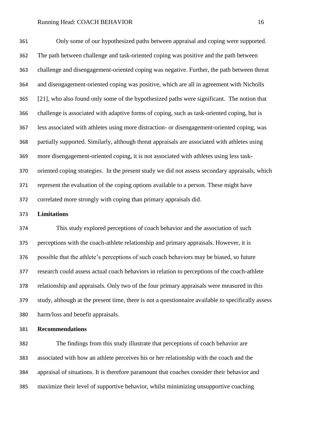Only some of our hypothesized paths between appraisal and coping were supported. The path between challenge and task-oriented coping was positive and the path between challenge and disengagement-oriented coping was negative. Further, the path between threat and disengagement-oriented coping was positive, which are all in agreement with Nicholls [21], who also found only some of the hypothesized paths were significant. The notion that challenge is associated with adaptive forms of coping, such as task-oriented coping, but is less associated with athletes using more distraction- or disengagement-oriented coping, was partially supported. Similarly, although threat appraisals are associated with athletes using more disengagement-oriented coping, it is not associated with athletes using less task- oriented coping strategies. In the present study we did not assess secondary appraisals, which represent the evaluation of the coping options available to a person. These might have correlated more strongly with coping than primary appraisals did.

## **Limitations**

 This study explored perceptions of coach behavior and the association of such perceptions with the coach-athlete relationship and primary appraisals. However, it is possible that the athlete's perceptions of such coach behaviors may be biased, so future research could assess actual coach behaviors in relation to perceptions of the coach-athlete relationship and appraisals. Only two of the four primary appraisals were measured in this study, although at the present time, there is not a questionnaire available to specifically assess harm/loss and benefit appraisals.

## **Recommendations**

 The findings from this study illustrate that perceptions of coach behavior are associated with how an athlete perceives his or her relationship with the coach and the appraisal of situations. It is therefore paramount that coaches consider their behavior and maximize their level of supportive behavior, whilst minimizing unsupportive coaching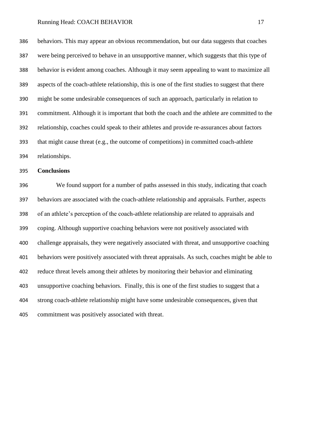behaviors. This may appear an obvious recommendation, but our data suggests that coaches were being perceived to behave in an unsupportive manner, which suggests that this type of behavior is evident among coaches. Although it may seem appealing to want to maximize all aspects of the coach-athlete relationship, this is one of the first studies to suggest that there might be some undesirable consequences of such an approach, particularly in relation to commitment. Although it is important that both the coach and the athlete are committed to the relationship, coaches could speak to their athletes and provide re-assurances about factors that might cause threat (e.g., the outcome of competitions) in committed coach-athlete relationships.

**Conclusions**

 We found support for a number of paths assessed in this study, indicating that coach behaviors are associated with the coach-athlete relationship and appraisals. Further, aspects of an athlete's perception of the coach-athlete relationship are related to appraisals and coping. Although supportive coaching behaviors were not positively associated with challenge appraisals, they were negatively associated with threat, and unsupportive coaching behaviors were positively associated with threat appraisals. As such, coaches might be able to reduce threat levels among their athletes by monitoring their behavior and eliminating unsupportive coaching behaviors. Finally, this is one of the first studies to suggest that a strong coach-athlete relationship might have some undesirable consequences, given that commitment was positively associated with threat.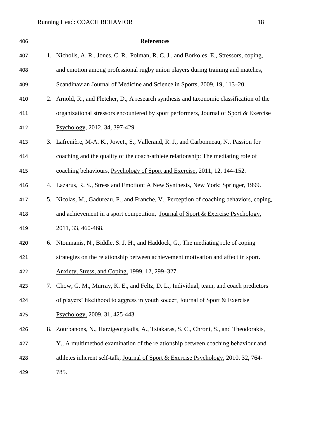| 406 |    | <b>References</b>                                                                         |
|-----|----|-------------------------------------------------------------------------------------------|
| 407 |    | 1. Nicholls, A. R., Jones, C. R., Polman, R. C. J., and Borkoles, E., Stressors, coping,  |
| 408 |    | and emotion among professional rugby union players during training and matches,           |
| 409 |    | Scandinavian Journal of Medicine and Science in Sports, 2009, 19, 113–20.                 |
| 410 |    | 2. Arnold, R., and Fletcher, D., A research synthesis and taxonomic classification of the |
| 411 |    | organizational stressors encountered by sport performers, Journal of Sport & Exercise     |
| 412 |    | Psychology, 2012, 34, 397-429.                                                            |
| 413 |    | 3. Lafrenière, M-A. K., Jowett, S., Vallerand, R. J., and Carbonneau, N., Passion for     |
| 414 |    | coaching and the quality of the coach-athlete relationship: The mediating role of         |
| 415 |    | coaching behaviours, Psychology of Sport and Exercise, 2011, 12, 144-152.                 |
| 416 |    | 4. Lazarus, R. S., Stress and Emotion: A New Synthesis, New York: Springer, 1999.         |
| 417 |    | 5. Nicolas, M., Gadureau, P., and Franche, V., Perception of coaching behaviors, coping,  |
| 418 |    | and achievement in a sport competition, Journal of Sport & Exercise Psychology,           |
| 419 |    | 2011, 33, 460-468.                                                                        |
| 420 |    | 6. Ntoumanis, N., Biddle, S. J. H., and Haddock, G., The mediating role of coping         |
| 421 |    | strategies on the relationship between achievement motivation and affect in sport.        |
| 422 |    | Anxiety, Stress, and Coping, 1999, 12, 299–327.                                           |
| 423 | 7. | Chow, G. M., Murray, K. E., and Feltz, D. L., Individual, team, and coach predictors      |
| 424 |    | of players' likelihood to aggress in youth soccer, Journal of Sport & Exercise            |
| 425 |    | Psychology, 2009, 31, 425-443.                                                            |
| 426 | 8. | Zourbanons, N., Harzigeorgiadis, A., Tsiakaras, S. C., Chroni, S., and Theodorakis,       |
| 427 |    | Y., A multimethod examination of the relationship between coaching behaviour and          |
| 428 |    | athletes inherent self-talk, Journal of Sport & Exercise Psychology, 2010, 32, 764-       |
| 429 |    | 785.                                                                                      |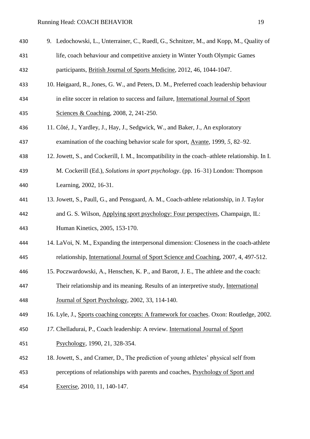| 430 | 9. Ledochowski, L., Unterrainer, C., Ruedl, G., Schnitzer, M., and Kopp, M., Quality of        |
|-----|------------------------------------------------------------------------------------------------|
| 431 | life, coach behaviour and competitive anxiety in Winter Youth Olympic Games                    |
| 432 | participants, British Journal of Sports Medicine, 2012, 46, 1044-1047.                         |
| 433 | 10. Høigaard, R., Jones, G. W., and Peters, D. M., Preferred coach leadership behaviour        |
| 434 | in elite soccer in relation to success and failure, International Journal of Sport             |
| 435 | Sciences & Coaching, 2008, 2, 241-250.                                                         |
| 436 | 11. Côté, J., Yardley, J., Hay, J., Sedgwick, W., and Baker, J., An exploratory                |
| 437 | examination of the coaching behavior scale for sport, Avante, 1999, 5, 82–92.                  |
| 438 | 12. Jowett, S., and Cockerill, I. M., Incompatibility in the coach-athlete relationship. In I. |
| 439 | M. Cockerill (Ed.), Solutions in sport psychology. (pp. 16–31) London: Thompson                |
| 440 | Learning, 2002, 16-31.                                                                         |
| 441 | 13. Jowett, S., Paull, G., and Pensgaard, A. M., Coach-athlete relationship, in J. Taylor      |
| 442 | and G. S. Wilson, Applying sport psychology: Four perspectives, Champaign, IL:                 |
| 443 | Human Kinetics, 2005, 153-170.                                                                 |
| 444 | 14. LaVoi, N. M., Expanding the interpersonal dimension: Closeness in the coach-athlete        |
| 445 | relationship, International Journal of Sport Science and Coaching, 2007, 4, 497-512.           |
| 446 | 15. Poczwardowski, A., Henschen, K. P., and Barott, J. E., The athlete and the coach:          |
| 447 | Their relationship and its meaning. Results of an interpretive study, International            |
| 448 | Journal of Sport Psychology, 2002, 33, 114-140.                                                |
| 449 | 16. Lyle, J., Sports coaching concepts: A framework for coaches. Oxon: Routledge, 2002.        |
| 450 | 17. Chelladurai, P., Coach leadership: A review. International Journal of Sport                |
| 451 | Psychology, 1990, 21, 328-354.                                                                 |
| 452 | 18. Jowett, S., and Cramer, D., The prediction of young athletes' physical self from           |
| 453 | perceptions of relationships with parents and coaches, Psychology of Sport and                 |

Exercise*,* 2010, 11*,* 140-147.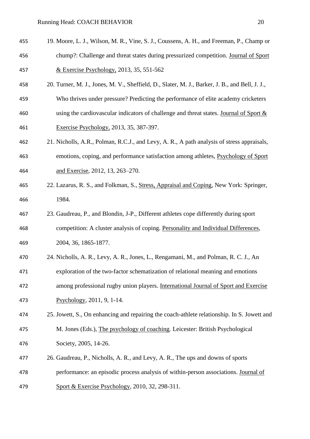- 
- 19. Moore, L. J., Wilson, M. R., Vine, S. J., Coussens, A. H., and Freeman, P., Champ or chump?: Challenge and threat states during pressurized competition. Journal of Sport & Exercise Psychology, 2013, 35, 551-562
- 20. Turner, M. J., Jones, M. V., Sheffield, D., Slater, M. J., Barker, J. B., and Bell, J. J.,
- Who thrives under pressure? Predicting the performance of elite academy cricketers using the cardiovascular indicators of challenge and threat states. Journal of Sport & Exercise Psychology, 2013, 35, 387-397.
- 21. Nicholls, A.R., Polman, R.C.J., and Levy, A. R., A path analysis of stress appraisals, emotions, coping, and performance satisfaction among athletes, Psychology of Sport and Exercise*,* 2012, 13, 263–270.
- 22. Lazarus, R. S., and Folkman, S., Stress, Appraisal and Coping*,* New York: Springer, 1984.
- 23. Gaudreau, P., and Blondin, J-P., Different athletes cope differently during sport competition: A cluster analysis of coping. Personality and Individual Differences*,*  2004, 36, 1865-1877.
- 24. Nicholls, A. R., Levy, A. R., Jones, L., Rengamani, M., and Polman, R. C. J., An
- exploration of the two-factor schematization of relational meaning and emotions among professional rugby union players. International Journal of Sport and Exercise Psychology*,* 2011, 9*,* 1-14.
- 25. Jowett, S., On enhancing and repairing the coach-athlete relationship. In S. Jowett and M. Jones (Eds.), The psychology of coaching. Leicester: British Psychological Society, 2005, 14-26.
- 26. Gaudreau, P., Nicholls, A. R., and Levy, A. R., The ups and downs of sports performance: an episodic process analysis of within-person associations. Journal of
- Sport & Exercise Psychology*,* 2010, 32*,* 298-311.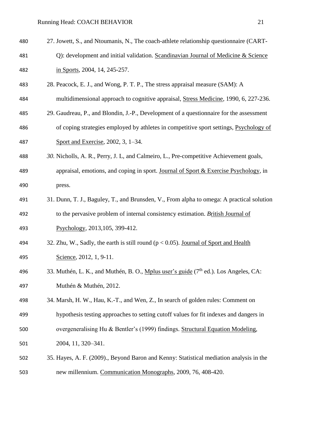| 480 | 27. Jowett, S., and Ntoumanis, N., The coach-athlete relationship questionnaire (CART-           |
|-----|--------------------------------------------------------------------------------------------------|
| 481 | Q): development and initial validation. Scandinavian Journal of Medicine & Science               |
| 482 | in Sports, 2004, 14, 245-257.                                                                    |
| 483 | 28. Peacock, E. J., and Wong, P. T. P., The stress appraisal measure (SAM): A                    |
| 484 | multidimensional approach to cognitive appraisal, Stress Medicine, 1990, 6, 227-236.             |
| 485 | 29. Gaudreau, P., and Blondin, J.-P., Development of a questionnaire for the assessment          |
| 486 | of coping strategies employed by athletes in competitive sport settings, Psychology of           |
| 487 | Sport and Exercise, 2002, 3, 1–34.                                                               |
| 488 | 30. Nicholls, A. R., Perry, J. L., and Calmeiro, L., Pre-competitive Achievement goals,          |
| 489 | appraisal, emotions, and coping in sport. Journal of Sport & Exercise Psychology, in             |
| 490 | press.                                                                                           |
| 491 | 31. Dunn, T. J., Baguley, T., and Brunsden, V., From alpha to omega: A practical solution        |
| 492 | to the pervasive problem of internal consistency estimation. British Journal of                  |
| 493 | Psychology, 2013, 105, 399-412.                                                                  |
| 494 | 32. Zhu, W., Sadly, the earth is still round ( $p < 0.05$ ). Journal of Sport and Health         |
| 495 | Science, 2012, 1, 9-11.                                                                          |
| 496 | 33. Muthén, L. K., and Muthén, B. O., Mplus user's guide (7 <sup>th</sup> ed.). Los Angeles, CA: |
| 497 | Muthén & Muthén, 2012.                                                                           |
| 498 | 34. Marsh, H. W., Hau, K.-T., and Wen, Z., In search of golden rules: Comment on                 |
| 499 | hypothesis testing approaches to setting cutoff values for fit indexes and dangers in            |
| 500 | overgeneralising Hu & Bentler's (1999) findings. Structural Equation Modeling,                   |
| 501 | 2004, 11, 320-341.                                                                               |
| 502 | 35. Hayes, A. F. (2009)., Beyond Baron and Kenny: Statistical mediation analysis in the          |
| 503 | new millennium. Communication Monographs, 2009, 76, 408-420.                                     |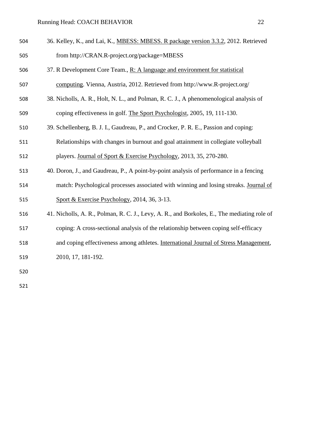| 504 | 36. Kelley, K., and Lai, K., MBESS: MBESS. R package version 3.3.2, 2012. Retrieved         |
|-----|---------------------------------------------------------------------------------------------|
| 505 | from http://CRAN.R-project.org/package=MBESS                                                |
| 506 | 37. R Development Core Team., R: A language and environment for statistical                 |
| 507 | computing. Vienna, Austria, 2012. Retrieved from http://www.R-project.org/                  |
| 508 | 38. Nicholls, A. R., Holt, N. L., and Polman, R. C. J., A phenomenological analysis of      |
| 509 | coping effectiveness in golf. The Sport Psychologist, 2005, 19, 111-130.                    |
| 510 | 39. Schellenberg, B. J. I., Gaudreau, P., and Crocker, P. R. E., Passion and coping:        |
| 511 | Relationships with changes in burnout and goal attainment in collegiate volleyball          |
| 512 | players. Journal of Sport & Exercise Psychology, 2013, 35, 270-280.                         |
| 513 | 40. Doron, J., and Gaudreau, P., A point-by-point analysis of performance in a fencing      |
| 514 | match: Psychological processes associated with winning and losing streaks. Journal of       |
| 515 | Sport & Exercise Psychology, 2014, 36, 3-13.                                                |
| 516 | 41. Nicholls, A. R., Polman, R. C. J., Levy, A. R., and Borkoles, E., The mediating role of |
| 517 | coping: A cross-sectional analysis of the relationship between coping self-efficacy         |
| 518 | and coping effectiveness among athletes. International Journal of Stress Management,        |
| 519 | 2010, 17, 181-192.                                                                          |
| 520 |                                                                                             |
|     |                                                                                             |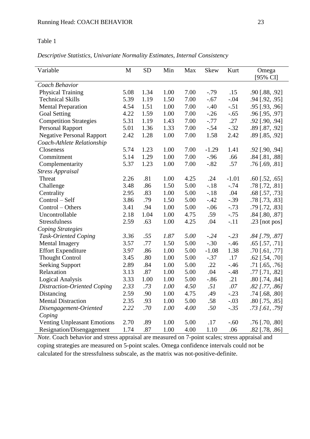## Table 1

*Descriptive Statistics, Univariate Normality Estimates, Internal Consistency*

| Variable                           | M    | <b>SD</b> | Min  | Max  | <b>Skew</b> | Kurt    | Omega                   |
|------------------------------------|------|-----------|------|------|-------------|---------|-------------------------|
|                                    |      |           |      |      |             |         | [95% CI]                |
| Coach Behavior                     |      |           |      |      |             |         |                         |
| <b>Physical Training</b>           | 5.08 | 1.34      | 1.00 | 7.00 | $-.79$      | .15     | $.90$ [.88, .92]        |
| <b>Technical Skills</b>            | 5.39 | 1.19      | 1.50 | 7.00 | $-.67$      | $-.04$  | $.94$ [.92, .95]        |
| <b>Mental Preparation</b>          | 4.54 | 1.51      | 1.00 | 7.00 | $-.40$      | $-.51$  | .95 [.93, .96]          |
| <b>Goal Setting</b>                | 4.22 | 1.59      | 1.00 | 7.00 | $-.26$      | $-.65$  | .96 [.95, .97]          |
| <b>Competition Strategies</b>      | 5.31 | 1.19      | 1.43 | 7.00 | $-.77$      | .27     | .92 [.90, .94]          |
| <b>Personal Rapport</b>            | 5.01 | 1.36      | 1.33 | 7.00 | $-.54$      | $-.32$  | .89 [.87, .92]          |
| <b>Negative Personal Rapport</b>   | 2.42 | 1.28      | 1.00 | 7.00 | 1.58        | 2.42    | $.89$ [ $.85, .92$ ]    |
| Coach-Athlete Relationship         |      |           |      |      |             |         |                         |
| Closeness                          | 5.74 | 1.23      | 1.00 | 7.00 | $-1.29$     | 1.41    | $.92$ [.90, .94]        |
| Commitment                         | 5.14 | 1.29      | 1.00 | 7.00 | $-.96$      | .66     | $.84$ [.81, .88]        |
| Complementarity                    | 5.37 | 1.23      | 1.00 | 7.00 | $-.82$      | .57     | $.76$ [.69, .81]        |
| <b>Stress Appraisal</b>            |      |           |      |      |             |         |                         |
| Threat                             | 2.26 | .81       | 1.00 | 4.25 | .24         | $-1.01$ | $.60$ [.52, $.65$ ]     |
| Challenge                          | 3.48 | .86       | 1.50 | 5.00 | $-.18$      | $-.74$  | $.78$ [ $.72, .81$ ]    |
| Centrality                         | 2.95 | .83       | 1.00 | 5.00 | $-.18$      | .04     | $.68$ [.57, .73]        |
| Control - Self                     | 3.86 | .79       | 1.50 | 5.00 | $-.42$      | $-.39$  | $.78$ [ $.73$ , $.83$ ] |
| Control – Others                   | 3.41 | .94       | 1.00 | 5.00 | $-.06$      | $-.73$  | .79 [.72, .83]          |
| Uncontrollable                     | 2.18 | 1.04      | 1.00 | 4.75 | .59         | $-.75$  | $.84$ [.80, .87]        |
| Stressfulness                      | 2.59 | .63       | 1.00 | 4.25 | .04         | $-.11$  | $.23$ [not pos]         |
| <b>Coping Strategies</b>           |      |           |      |      |             |         |                         |
| <b>Task-Oriented Coping</b>        | 3.36 | .55       | 1.87 | 5.00 | $-.24$      | $-.23$  | $.84$ [.79, .87]        |
| <b>Mental Imagery</b>              | 3.57 | .77       | 1.50 | 5.00 | $-.30$      | $-.46$  | $.65$ [ $.57, .71$ ]    |
| <b>Effort Expenditure</b>          | 3.97 | .86       | 1.00 | 5.00 | $-1.08$     | 1.38    | $.70$ [.61, .77]        |
| <b>Thought Control</b>             | 3.45 | .80       | 1.00 | 5.00 | $-.37$      | .17     | $.62$ [ $.54$ , $.70$ ] |
| <b>Seeking Support</b>             | 2.89 | .84       | 1.00 | 5.00 | .22         | $-0.46$ | $.71$ [.65, .76]        |
| Relaxation                         | 3.13 | .87       | 1.00 | 5.00 | .04         | $-.48$  | $.77$ [.71, .82]        |
| <b>Logical Analysis</b>            | 3.33 | 1.00      | 1.00 | 5.00 | $-.86$      | .21     | $.80$ [.74, .84]        |
| <b>Distraction-Oriented Coping</b> | 2.33 | .73       | 1.00 | 4.50 | .51         | $.07\,$ | $.82$ [.77, .86]        |
| Distancing                         | 2.59 | .90       | 1.00 | 4.75 | .49         | $-.23$  | $.74$ [.68, .80]        |
| <b>Mental Distraction</b>          | 2.35 | .93       | 1.00 | 5.00 | .58         | $-.03$  | $.80$ [.75, .85]        |
| Disengagement-Oriented             | 2.22 | .70       | 1.00 | 4.00 | .50         | $-.35$  | $.73$ [.61, .79]        |
| Coping                             |      |           |      |      |             |         |                         |
| <b>Venting Unpleasant Emotions</b> | 2.70 | .89       | 1.00 | 5.00 | .17         | $-.60$  | $.76$ [.70, .80]        |
| Resignation/Disengagement          | 1.74 | .87       | 1.00 | 4.00 | 1.10        | .06     | $.82$ [.78, .86]        |

*Note.* Coach behavior and stress appraisal are measured on 7-point scales; stress appraisal and coping strategies are measured on 5-point scales. Omega confidence intervals could not be calculated for the stressfulness subscale, as the matrix was not-positive-definite.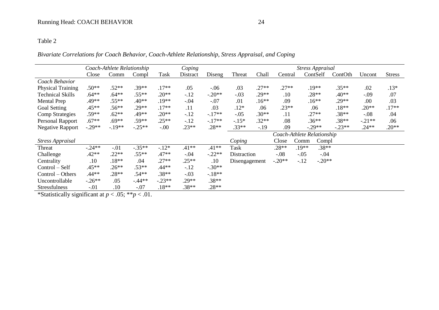# *Bivariate Correlations for Coach Behavior, Coach-Athlete Relationship, Stress Appraisal, and Coping*

|                          | Coping<br>Coach-Athlete Relationship<br><b>Stress Appraisal</b> |         |                            |          |                    |          |               |         |          |         |          |          |          |               |
|--------------------------|-----------------------------------------------------------------|---------|----------------------------|----------|--------------------|----------|---------------|---------|----------|---------|----------|----------|----------|---------------|
|                          | Close                                                           | Comm    | Compl                      | Task     | Distract           | Diseng   | Threat        | Chall   | Central  |         | ContSelf | ContOth  | Uncont   | <b>Stress</b> |
| Coach Behavior           |                                                                 |         |                            |          |                    |          |               |         |          |         |          |          |          |               |
| <b>Physical Training</b> | $.50**$                                                         | $.52**$ | $.39**$                    | $.17**$  | .05                | $-0.06$  | .03           | $.27**$ | $.27**$  |         | $.19**$  | $.35**$  | .02      | $.13*$        |
| <b>Technical Skills</b>  | $.64***$                                                        | $.64**$ | $.55**$                    | $.20**$  | $-12$              | $-.20**$ | $-.03$        | $.29**$ | .10      |         | $.28**$  | $.40**$  | $-.09$   | .07           |
| <b>Mental Prep</b>       | $.49**$                                                         | $.55**$ | $.40**$                    | $.19**$  | $-.04$             | $-.07$   | .01           | $.16**$ | .09      |         | $.16**$  | $.29**$  | .00      | .03           |
| Goal Setting             | $.45**$                                                         | $.56**$ | $.29**$                    | $.17**$  | .11                | .03      | $.12*$        | .06     | $.23**$  |         | .06      | $.18**$  | $.20**$  | $.17**$       |
| <b>Comp Strategies</b>   | $.59**$                                                         | $.62**$ | .49**                      | $.20**$  | $-12$              | $-.17**$ | $-.05$        | $.30**$ | .11      |         | $.27**$  | $.38**$  | $-.08$   | .04           |
| <b>Personal Rapport</b>  | $.67**$                                                         | $.69**$ | $.59**$                    | $.25**$  | $-12$              | $-.17**$ | $-.15*$       | $.32**$ | .08      |         | $.36**$  | $.38**$  | $-.21**$ | .06           |
| <b>Negative Rapport</b>  | $-.29**$                                                        | $-19**$ | $-.25**$                   | $-0.00$  | $.23**$            | $.28**$  | $.33**$       | $-19$   | .09      |         | $-.29**$ | $-.23**$ | $.24**$  | $.20**$       |
|                          |                                                                 |         | Coach-Athlete Relationship |          |                    |          |               |         |          |         |          |          |          |               |
| <b>Stress Appraisal</b>  |                                                                 |         |                            |          |                    |          | Coping        |         | Close    | Comm    | Compl    |          |          |               |
| Threat                   | $-.24**$                                                        | $-.01$  | $-.35**$                   | $-.12*$  | $.41**$            | $.41**$  | Task          |         | $.28**$  | $.19**$ | $.38**$  |          |          |               |
| Challenge                | $.42**$                                                         | $.22**$ | $.55**$                    | $.47**$  | $-.04$             | $-.22**$ | Distraction   |         | $-.08$   | $-.05$  | $-.04$   |          |          |               |
| Centrality               | .10                                                             | $.18**$ | .04                        | $.27**$  | $.25**$            | .10      | Disengagement |         | $-.20**$ | $-.12$  | $-.20**$ |          |          |               |
| Control – Self           | $.45**$                                                         | $.26**$ | $.53**$                    | $.44**$  | $-12$              | $-.30**$ |               |         |          |         |          |          |          |               |
| Control – Others         | $.44**$                                                         | $.28**$ | $.54**$                    | $.38**$  | $-.03$             | $-.18**$ |               |         |          |         |          |          |          |               |
| Uncontrollable           | $-.26**$                                                        | .05     | $-44**$                    | $-.23**$ | $.38**$<br>$.29**$ |          |               |         |          |         |          |          |          |               |
| <b>Stressfulness</b>     | $-.01$                                                          | .10     | $-.07$                     | $.18**$  | $.38**$            | $.28**$  |               |         |          |         |          |          |          |               |

\*Statistically significant at *p* < .05; \*\**p* < .01.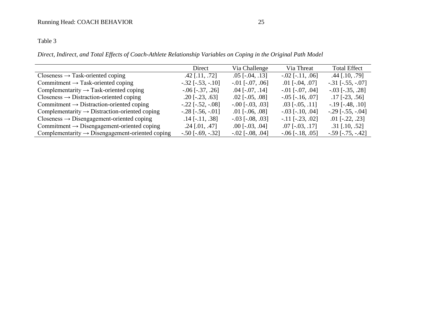# Table 3

*Direct, Indirect, and Total Effects of Coach-Athlete Relationship Variables on Coping in the Original Path Model*

|                                                             | Direct                  | Via Challenge          | Via Threat              | <b>Total Effect</b>     |
|-------------------------------------------------------------|-------------------------|------------------------|-------------------------|-------------------------|
| $Closeness \rightarrow Task-oriented coping$                | $.42$ [.11, .72]        | $.05$ [ $-.04, .13$ ]  | $-.02$ [ $-.11, .06$ ]  | $.44$ [.10, .79]        |
| Commitment $\rightarrow$ Task-oriented coping               | $-.32$ [ $-.53, -.10$ ] | $-.01$ [ $-.07, .06$ ] | $.01$ [ $-.04, .07$ ]   | $-.31$ [ $-.55, -.07$ ] |
| Complementarity $\rightarrow$ Task-oriented coping          | $-.06$ [ $-.37, .26$ ]  | $.04$ [ $-.07, .14$ ]  | $-0.01$ $[-0.07, 0.04]$ | $-.03$ [ $-.35, .28$ ]  |
| $Closeness \rightarrow Distribution-oriented coping$        | $.20$ [ $-.23, .63$ ]   | $.02$ [ $-.05, .08$ ]  | $-.05$ [ $-.16, .07$ ]  | $.17$ [-23, .56]        |
| Commitment $\rightarrow$ Distraction-oriented coping        | $-.22$ [ $-.52, -.08$ ] | $-.00$ [ $-.03, .03$ ] | $.03$ [ $-.05, .11$ ]   | $-.19$ [ $-.48, .10$ ]  |
| Complementarity $\rightarrow$ Distraction-oriented coping   | $-.28$ [ $-.56, -.01$ ] | $.01$ [ $-.06, .08$ ]  | $-.03$ [ $-.10, .04$ ]  | $-.29$ [ $-.55, -.04$ ] |
| $Closeness \rightarrow Disengagement-oriented coping$       | $.14$ [-.11, .38]       | $-.03$ [ $-.08, .03$ ] | $-.11$ [ $-.23, .02$ ]  | $.01$ [ $-.22, .23$ ]   |
| Commitment $\rightarrow$ Disengagement-oriented coping      | $.24$ [.01, .47]        | $.00$ [ $-.03, .04$ ]  | $.07$ [ $-.03, .17$ ]   | $.31$ [.10, .52]        |
| Complementarity $\rightarrow$ Disengagement-oriented coping | $-.50$ [ $-.69, -.32$ ] | $-.02$ [ $-.08, .04$ ] | $-.06$ [ $-.18, .05$ ]  | $-.59$ [ $-.75, -.42$ ] |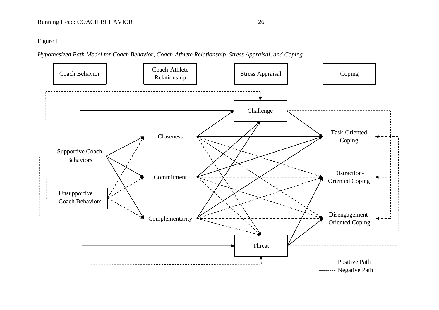Figure 1

*Hypothesized Path Model for Coach Behavior, Coach-Athlete Relationship, Stress Appraisal, and Coping*